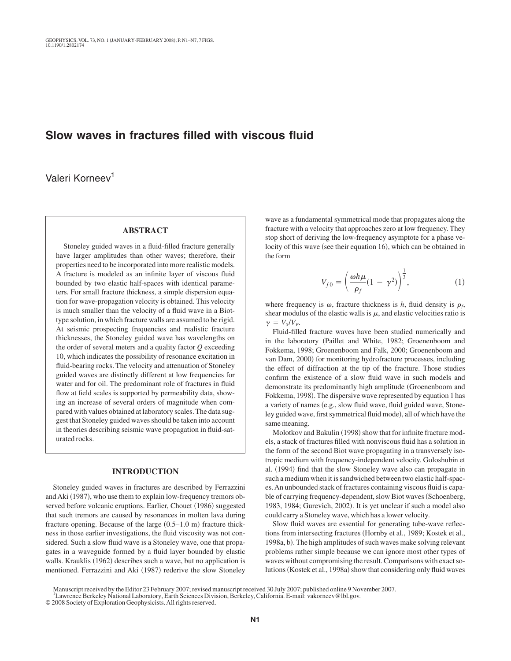# **Slow waves in fractures filled with viscous fluid**

Valeri Korneev<sup>1</sup>

## **ABSTRACT**

Stoneley guided waves in a fluid-filled fracture generally have larger amplitudes than other waves; therefore, their properties need to be incorporated into more realistic models. A fracture is modeled as an infinite layer of viscous fluid bounded by two elastic half-spaces with identical parameters. For small fracture thickness, a simple dispersion equation for wave-propagation velocity is obtained. This velocity is much smaller than the velocity of a fluid wave in a Biottype solution, in which fracture walls are assumed to be rigid. At seismic prospecting frequencies and realistic fracture thicknesses, the Stoneley guided wave has wavelengths on the order of several meters and a quality factor *Q* exceeding 10, which indicates the possibility of resonance excitation in fluid-bearing rocks. The velocity and attenuation of Stoneley guided waves are distinctly different at low frequencies for water and for oil. The predominant role of fractures in fluid flow at field scales is supported by permeability data, showing an increase of several orders of magnitude when compared with values obtained at laboratory scales. The data suggest that Stoneley guided waves should be taken into account in theories describing seismic wave propagation in fluid-saturated rocks.

### **INTRODUCTION**

Stoneley guided waves in fractures are described by Ferrazzini and Aki (1987), who use them to explain low-frequency tremors observed before volcanic eruptions. Earlier, Chouet (1986) suggested that such tremors are caused by resonances in molten lava during fracture opening. Because of the large  $(0.5-1.0 \text{ m})$  fracture thickness in those earlier investigations, the fluid viscosity was not considered. Such a slow fluid wave is a Stoneley wave, one that propagates in a waveguide formed by a fluid layer bounded by elastic walls. Krauklis (1962) describes such a wave, but no application is mentioned. Ferrazzini and Aki (1987) rederive the slow Stoneley

wave as a fundamental symmetrical mode that propagates along the fracture with a velocity that approaches zero at low frequency. They stop short of deriving the low-frequency asymptote for a phase velocity of this wave (see their equation 16), which can be obtained in the form

$$
V_{f0} = \left(\frac{\omega h \mu}{\rho_f} (1 - \gamma^2)\right)^{\frac{1}{3}},\tag{1}
$$

where frequency is  $\omega$ , fracture thickness is *h*, fluid density is  $\rho_f$ , shear modulus of the elastic walls is  $\mu$ , and elastic velocities ratio is  $\gamma = V_s/V_p$ .

Fluid-filled fracture waves have been studied numerically and in the laboratory (Paillet and White, 1982; Groenenboom and Fokkema, 1998; Groenenboom and Falk, 2000; Groenenboom and van Dam, 2000) for monitoring hydrofracture processes, including the effect of diffraction at the tip of the fracture. Those studies confirm the existence of a slow fluid wave in such models and demonstrate its predominantly high amplitude (Groenenboom and Fokkema, 1998). The dispersive wave represented by equation 1 has a variety of names (e.g., slow fluid wave, fluid guided wave, Stoneley guided wave, first symmetrical fluid mode), all of which have the same meaning.

Molotkov and Bakulin (1998) show that for infinite fracture models, a stack of fractures filled with nonviscous fluid has a solution in the form of the second Biot wave propagating in a transversely isotropic medium with frequency-independent velocity. Goloshubin et al. (1994) find that the slow Stoneley wave also can propagate in such a medium when it is sandwiched between two elastic half-spaces.An unbounded stack of fractures containing viscous fluid is capable of carrying frequency-dependent, slow Biot waves (Schoenberg, 1983, 1984; Gurevich, 2002). It is yet unclear if such a model also could carry a Stoneley wave, which has a lower velocity.

Slow fluid waves are essential for generating tube-wave reflections from intersecting fractures (Hornby et al., 1989; Kostek et al., 1998a, b). The high amplitudes of such waves make solving relevant problems rather simple because we can ignore most other types of waves without compromising the result. Comparisons with exact solutions (Kostek et al., 1998a) show that considering only fluid waves

Manuscript received by the Editor 23 February 2007; revised manuscript received 30 July 2007; published online 9 November 2007.

<sup>&</sup>lt;sup>1</sup>Lawrence Berkeley National Laboratory, Earth Sciences Division, Berkeley, California. E-mail: vakorneev@lbl.gov.

<sup>© 2008</sup> Society of Exploration Geophysicists.All rights reserved.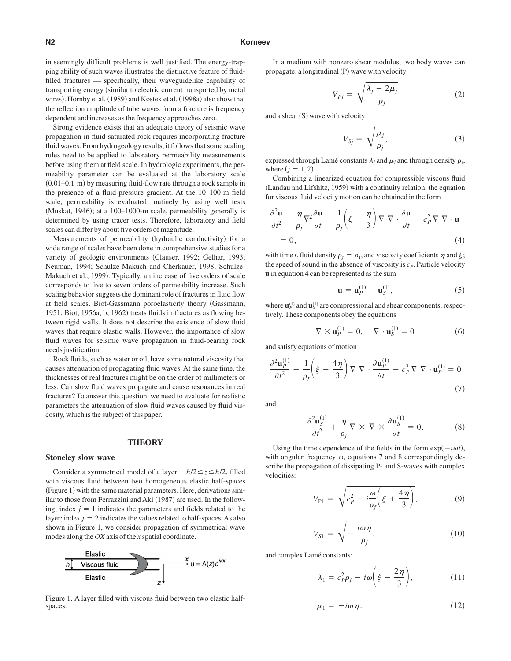#### **N2 Korneev**

in seemingly difficult problems is well justified. The energy-trapping ability of such waves illustrates the distinctive feature of fluidfilled fractures — specifically, their waveguidelike capability of transporting energy (similar to electric current transported by metal wires). Hornby et al. (1989) and Kostek et al. (1998a) also show that the reflection amplitude of tube waves from a fracture is frequency dependent and increases as the frequency approaches zero.

Strong evidence exists that an adequate theory of seismic wave propagation in fluid-saturated rock requires incorporating fracture fluid waves. From hydrogeology results, it follows that some scaling rules need to be applied to laboratory permeability measurements before using them at field scale. In hydrologic experiments, the permeability parameter can be evaluated at the laboratory scale  $(0.01-0.1 \text{ m})$  by measuring fluid-flow rate through a rock sample in the presence of a fluid-pressure gradient. At the 10–100-m field scale, permeability is evaluated routinely by using well tests (Muskat, 1946); at a 100–1000-m scale, permeability generally is determined by using tracer tests. Therefore, laboratory and field scales can differ by about five orders of magnitude.

Measurements of permeability (hydraulic conductivity) for a wide range of scales have been done in comprehensive studies for a variety of geologic environments Clauser, 1992; Gelhar, 1993; Neuman, 1994; Schulze-Makuch and Cherkauer, 1998; Schulze-Makuch et al., 1999). Typically, an increase of five orders of scale corresponds to five to seven orders of permeability increase. Such scaling behavior suggests the dominant role of fractures in fluid flow at field scales. Biot-Gassmann poroelasticity theory Gassmann, 1951; Biot, 1956a, b; 1962) treats fluids in fractures as flowing between rigid walls. It does not describe the existence of slow fluid waves that require elastic walls. However, the importance of slow fluid waves for seismic wave propagation in fluid-bearing rock needs justification.

Rock fluids, such as water or oil, have some natural viscosity that causes attenuation of propagating fluid waves. At the same time, the thicknesses of real fractures might be on the order of millimeters or less. Can slow fluid waves propagate and cause resonances in real fractures? To answer this question, we need to evaluate for realistic parameters the attenuation of slow fluid waves caused by fluid viscosity, which is the subject of this paper.

#### **THEORY**

#### **Stoneley slow wave**

Consider a symmetrical model of a layer  $-h/2 \le z \le h/2$ , filled with viscous fluid between two homogeneous elastic half-spaces (Figure 1) with the same material parameters. Here, derivations similar to those from Ferrazzini and Aki (1987) are used. In the following, index  $j = 1$  indicates the parameters and fields related to the layer; index  $j = 2$  indicates the values related to half-spaces. As also shown in Figure 1, we consider propagation of symmetrical wave modes along the *OX* axis of the *x* spatial coordinate.



 Figure 1. A layer filled with viscous fluid between two elastic halfspaces.

In a medium with nonzero shear modulus, two body waves can propagate: a longitudinal (P) wave with velocity

$$
V_{Pj} = \sqrt{\frac{\lambda_j + 2\mu_j}{\rho_j}}
$$
 (2)

and a shear (S) wave with velocity

$$
V_{Sj} = \sqrt{\frac{\mu_j}{\rho_j}},\tag{3}
$$

expressed through Lamé constants  $\lambda_j$  and  $\mu_j$  and through density  $\rho_j$ , where  $(j = 1, 2)$ .

Combining a linearized equation for compressible viscous fluid (Landau and Lifshitz, 1959) with a continuity relation, the equation for viscous fluid velocity motion can be obtained in the form

$$
\frac{\partial^2 \mathbf{u}}{\partial t^2} - \frac{\eta}{\rho_f} \nabla^2 \frac{\partial \mathbf{u}}{\partial t} - \frac{1}{\rho_f} \left( \xi - \frac{\eta}{3} \right) \nabla \nabla \cdot \frac{\partial \mathbf{u}}{\partial t} - c_P^2 \nabla \nabla \cdot \mathbf{u}
$$
  
= 0, (4)

with time *t*, fluid density  $\rho_f = \rho_1$ , and viscosity coefficients  $\eta$  and  $\xi$ ; the speed of sound in the absence of viscosity is  $c<sub>P</sub>$ . Particle velocity **u** in equation 4 can be represented as the sum

$$
\mathbf{u} = \mathbf{u}_P^{(1)} + \mathbf{u}_S^{(1)},\tag{5}
$$

where  $\mathbf{u}_P^{(1)}$  and  $\mathbf{u}_S^{(1)}$  are compressional and shear components, respectively. These components obey the equations

$$
\nabla \times \mathbf{u}_P^{(1)} = 0, \quad \nabla \cdot \mathbf{u}_S^{(1)} = 0 \tag{6}
$$

and satisfy equations of motion

$$
\frac{\partial^2 \mathbf{u}_P^{(1)}}{\partial t^2} - \frac{1}{\rho_f} \left( \xi + \frac{4\eta}{3} \right) \nabla \nabla \cdot \frac{\partial \mathbf{u}_P^{(1)}}{\partial t} - c_P^2 \nabla \nabla \cdot \mathbf{u}_P^{(1)} = 0
$$
\n(7)

and

$$
\frac{\partial^2 \mathbf{u}_S^{(1)}}{\partial t^2} + \frac{\eta}{\rho_f} \nabla \times \nabla \times \frac{\partial \mathbf{u}_S^{(1)}}{\partial t} = 0.
$$
 (8)

Using the time dependence of the fields in the form  $exp(-i\omega t)$ , with angular frequency  $\omega$ , equations 7 and 8 correspondingly describe the propagation of dissipating P- and S-waves with complex velocities:

$$
V_{\rm Pl} = \sqrt{c_P^2 - i\frac{\omega}{\rho_f} \left(\xi + \frac{4\eta}{3}\right)},\tag{9}
$$

$$
V_{S1} = \sqrt{-\frac{i\omega\eta}{\rho_f}},\tag{10}
$$

and complex Lamé constants:

$$
\lambda_1 = c_P^2 \rho_f - i\omega \bigg(\xi - \frac{2\eta}{3}\bigg),\tag{11}
$$

$$
\mu_1 = -i\omega \eta. \tag{12}
$$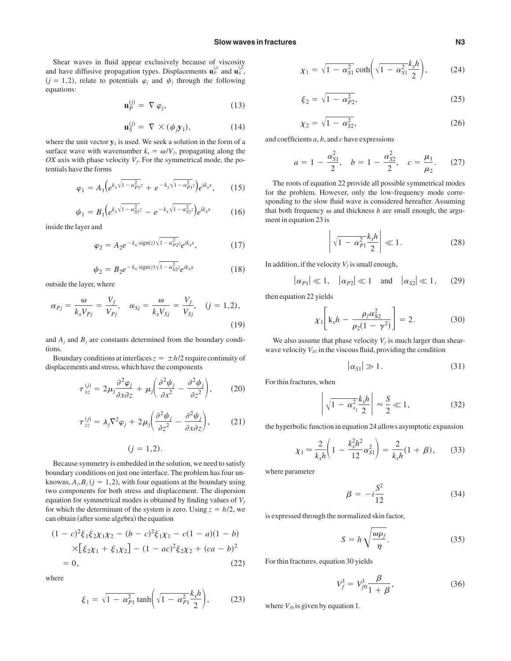Shear waves in fluid appear exclusively because of viscosity and have diffusive propagation types. Displacements  $\mathbf{u}_P^{(j)}$  and  $\mathbf{u}_S^{(j)}$ ,  $(j = 1, 2)$ , relate to potentials  $\varphi_j$  and  $\psi_j$  through the following equations:

$$
\mathbf{u}_P^{(j)} = \nabla \varphi_j,\tag{13}
$$

$$
\mathbf{u}_S^{(j)} = \nabla \times (\psi_j \mathbf{y}_1), \tag{14}
$$

where the unit vector  $y_1$  is used. We seek a solution in the form of a surface wave with wavenumber  $k_x = \omega/V_f$ , propagating along the  $OX$  axis with phase velocity  $V_f$ . For the symmetrical mode, the potentials have the forms

$$
\varphi_1 = A_1 \Big( e^{k_x \sqrt{1 - \alpha_{P1}^2} z} + e^{-k_x \sqrt{1 - \alpha_{P1}^2} z} \Big) e^{ik_x x}, \qquad (15)
$$

$$
\psi_1 = B_1 \Big( e^{k_x \sqrt{1 - \alpha_{S1}^2} z} - e^{-k_x \sqrt{1 - \alpha_{S1}^2} z} \Big) e^{ik_x x} \tag{16}
$$

inside the layer and

$$
\varphi_2 = A_2 e^{-k_x \operatorname{sign}(z) \sqrt{1 - \alpha_{P2}^2 z}} e^{ik_x x}, \tag{17}
$$

$$
\psi_2 = B_2 e^{-k_x \text{ sign}(z) \sqrt{1 - \alpha_{S2}^2} z} e^{ik_x x} \tag{18}
$$

outside the layer, where

$$
\alpha_{Pj} = \frac{\omega}{k_x V_{Pj}} = \frac{V_f}{V_{Pj}}, \quad \alpha_{Sj} = \frac{\omega}{k_x V_{Sj}} = \frac{V_f}{V_{Sj}}, \quad (j = 1, 2),
$$
\n(19)

and  $A_j$  and  $B_j$  are constants determined from the boundary conditions.

Boundary conditions at interfaces  $z = \pm h/2$  require continuity of displacements and stress, which have the components

$$
\tau_{xz}^{(j)} = 2\mu_j \frac{\partial^2 \varphi_j}{\partial x \partial z} + \mu_j \left( \frac{\partial^2 \psi_j}{\partial x^2} - \frac{\partial^2 \psi_j}{\partial z^2} \right), \qquad (20)
$$

$$
\tau_{zz}^{(j)} = \lambda_j \nabla^2 \varphi_j + 2\mu_j \bigg( \frac{\partial^2 \psi_j}{\partial z^2} - \frac{\partial^2 \psi_j}{\partial x \partial z} \bigg), \tag{21}
$$

$$
(j=1,2).
$$

Because symmetry is embedded in the solution, we need to satisfy boundary conditions on just one interface. The problem has four unknowns,  $A_j$ ,  $B_j$  ( $j = 1, 2$ ), with four equations at the boundary using two components for both stress and displacement. The dispersion equation for symmetrical modes is obtained by finding values of  $V_f$ for which the determinant of the system is zero. Using  $z = h/2$ , we can obtain (after some algebra) the equation

$$
(1 - c)^2 \xi_1 \xi_2 \chi_1 \chi_2 - (b - c)^2 \xi_1 \chi_1 - c(1 - a)(1 - b)
$$
  
×[ $\xi_2 \chi_1 + \xi_1 \chi_2$ ] - (1 - ac)<sup>2</sup>  $\xi_2 \chi_2 + (ca - b)^2$   
= 0, (22)

where

$$
\xi_1 = \sqrt{1 - \alpha_{P1}^2} \tanh\left(\sqrt{1 - \alpha_{P1}^2} \frac{k_x h}{2}\right),\tag{23}
$$

$$
\chi_1 = \sqrt{1 - \alpha_{S1}^2} \coth\left(\sqrt{1 - \alpha_{S1}^2} \frac{k_x h}{2}\right),\tag{24}
$$

$$
\xi_2 = \sqrt{1 - \alpha_{P2}^2},\tag{25}
$$

$$
\chi_2 = \sqrt{1 - \alpha_{S2}^2},\tag{26}
$$

and coefficients *a*, *b*, and *c* have expressions

$$
a = 1 - \frac{\alpha_{s1}^2}{2}
$$
,  $b = 1 - \frac{\alpha_{s2}^2}{2}$ ,  $c = \frac{\mu_1}{\mu_2}$ . (27)

The roots of equation 22 provide all possible symmetrical modes for the problem. However, only the low-frequency mode corresponding to the slow fluid wave is considered hereafter. Assuming that both frequency  $\omega$  and thickness  $h$  are small enough, the argument in equation 23 is

$$
\left| \sqrt{1 - \alpha_{P1}^2} \frac{k_x h}{2} \right| \ll 1. \tag{28}
$$

In addition, if the velocity  $V_f$  is small enough,

$$
|\alpha_{P1}| \ll 1, \quad |\alpha_{P2}| \ll 1 \quad \text{and} \quad |\alpha_{S2}| \ll 1, \qquad (29)
$$

then equation 22 yields

$$
\chi_1 \bigg[ k_x h - \frac{\rho_f \alpha_{S2}^2}{\rho_2 (1 - \gamma^2)} \bigg] = 2. \tag{30}
$$

We also assume that phase velocity  $V_f$  is much larger than shearwave velocity  $V_{S1}$  in the viscous fluid, providing the condition

$$
|\alpha_{\rm Sl}| \gg 1. \tag{31}
$$

For thin fractures, when

$$
\left| \sqrt{1 - \alpha_{s_1}^2} \frac{k_x h}{2} \right| \approx \frac{S}{2} \ll 1, \tag{32}
$$

the hyperbolic function in equation 24 allows asymptotic expansion

$$
\chi_1 \approx \frac{2}{k_x h} \left( 1 - \frac{k_x^2 h^2}{12} \alpha_{S1}^2 \right) = \frac{2}{k_x h} (1 + \beta), \qquad (33)
$$

where parameter

$$
\beta = -i\frac{S^2}{12} \tag{34}
$$

is expressed through the normalized skin factor,

$$
S = h \sqrt{\frac{\omega \rho_f}{\eta}}.\tag{35}
$$

For thin fractures, equation 30 yields

$$
V_f^3 = V_{f0}^3 \frac{\beta}{1 + \beta},
$$
\t(36)

where  $V_{f0}$  is given by equation 1.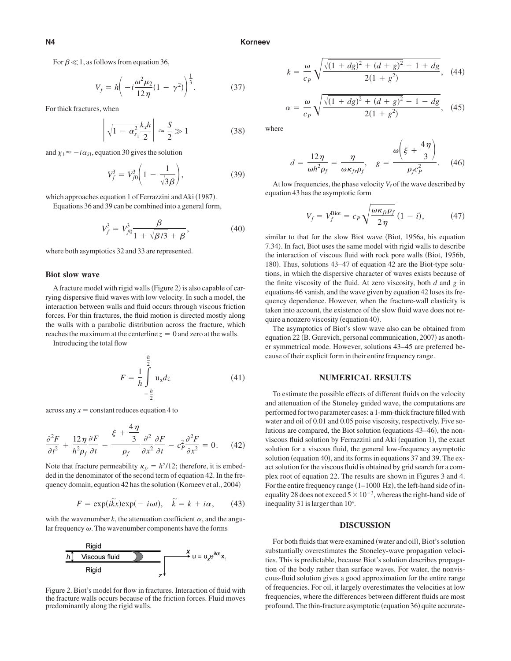For  $\beta \ll 1$ , as follows from equation 36,

$$
V_f = h \left( -i \frac{\omega^2 \mu_2}{12 \eta} (1 - \gamma^2) \right)^{\frac{1}{3}}.
$$
 (37)

For thick fractures, when

$$
\left| \sqrt{1 - \alpha_{s_1}^2} \frac{k_x h}{2} \right| \approx \frac{S}{2} \gg 1 \tag{38}
$$

and  $\chi_1 \approx -i\alpha_{S1}$ , equation 30 gives the solution

$$
V_f^3 = V_{f0}^3 \bigg( 1 - \frac{1}{\sqrt{3\beta}} \bigg), \tag{39}
$$

which approaches equation 1 of Ferrazzini and Aki (1987).

Equations 36 and 39 can be combined into a general form,

$$
V_f^3 = V_{f0}^3 \frac{\beta}{1 + \sqrt{\beta/3} + \beta},
$$
 (40)

where both asymptotics 32 and 33 are represented.

#### **Biot slow wave**

A fracture model with rigid walls (Figure 2) is also capable of carrying dispersive fluid waves with low velocity. In such a model, the interaction between walls and fluid occurs through viscous friction forces. For thin fractures, the fluid motion is directed mostly along the walls with a parabolic distribution across the fracture, which reaches the maximum at the centerline  $z = 0$  and zero at the walls.

Introducing the total flow

$$
F = \frac{1}{h} \int_{-\frac{h}{2}}^{\frac{h}{2}} \mathbf{u}_x dz
$$
 (41)

across any  $x = constant$  reduces equation 4 to

$$
\frac{\partial^2 F}{\partial t^2} + \frac{12\eta}{h^2 \rho_f} \frac{\partial F}{\partial t} - \frac{\xi + \frac{4\eta}{3}}{\rho_f} \frac{\partial^2}{\partial x^2} \frac{\partial F}{\partial t} - c_P^2 \frac{\partial^2 F}{\partial x^2} = 0.
$$
 (42)

Note that fracture permeability  $\kappa_f = h^2/12$ ; therefore, it is embedded in the denominator of the second term of equation 42. In the frequency domain, equation 42 has the solution (Korneev et al., 2004)

$$
F = \exp(i\tilde{k}x)\exp(-i\omega t), \quad \tilde{k} = k + i\alpha, \qquad (43)
$$

with the wavenumber  $k$ , the attenuation coefficient  $\alpha$ , and the angular frequency  $\omega$ . The wavenumber components have the forms



Figure 2. Biot's model for flow in fractures. Interaction of fluid with the fracture walls occurs because of the friction forces. Fluid moves predominantly along the rigid walls.

$$
k = \frac{\omega}{c_P} \sqrt{\frac{\sqrt{(1+dg)^2 + (d+g)^2} + 1 + dg}{2(1+g^2)}},
$$
 (44)

$$
\alpha = \frac{\omega}{c_P} \sqrt{\frac{\sqrt{(1+dg)^2 + (d+g)^2} - 1 - dg}{2(1+g^2)}},
$$
 (45)

where

$$
d = \frac{12\eta}{\omega h^2 \rho_f} = \frac{\eta}{\omega \kappa_{fr} \rho_f}, \quad g = \frac{\omega \left(\xi + \frac{4\eta}{3}\right)}{\rho_f c_P^2}.
$$
 (46)

At low frequencies, the phase velocity  $V_f$  of the wave described by equation 43 has the asymptotic form

$$
V_f = V_f^{\text{Biot}} = c_P \sqrt{\frac{\omega \kappa_{fr} \rho_f}{2\eta}} (1 - i), \qquad (47)
$$

similar to that for the slow Biot wave (Biot, 1956a, his equation 7.34). In fact, Biot uses the same model with rigid walls to describe the interaction of viscous fluid with rock pore walls (Biot, 1956b, 180). Thus, solutions 43–47 of equation 42 are the Biot-type solutions, in which the dispersive character of waves exists because of the finite viscosity of the fluid. At zero viscosity, both *d* and *g* in equations 46 vanish, and the wave given by equation 42 loses its frequency dependence. However, when the fracture-wall elasticity is taken into account, the existence of the slow fluid wave does not require a nonzero viscosity (equation 40).

The asymptotics of Biot's slow wave also can be obtained from equation 22 (B. Gurevich, personal communication, 2007) as another symmetrical mode. However, solutions 43–45 are preferred because of their explicit form in their entire frequency range.

#### **NUMERICAL RESULTS**

To estimate the possible effects of different fluids on the velocity and attenuation of the Stoneley guided wave, the computations are performed for two parameter cases: a 1-mm-thick fracture filled with water and oil of 0.01 and 0.05 poise viscosity, respectively. Five solutions are compared, the Biot solution (equations 43–46), the nonviscous fluid solution by Ferrazzini and Aki (equation 1), the exact solution for a viscous fluid, the general low-frequency asymptotic solution (equation 40), and its forms in equations 37 and 39. The exact solution for the viscous fluid is obtained by grid search for a complex root of equation 22. The results are shown in Figures 3 and 4. For the entire frequency range  $(1-1000 \text{ Hz})$ , the left-hand side of inequality 28 does not exceed  $5 \times 10^{-3}$ , whereas the right-hand side of inequality 31 is larger than 10<sup>4</sup>.

#### **DISCUSSION**

For both fluids that were examined (water and oil), Biot's solution substantially overestimates the Stoneley-wave propagation velocities. This is predictable, because Biot's solution describes propagation of the body rather than surface waves. For water, the nonviscous-fluid solution gives a good approximation for the entire range of frequencies. For oil, it largely overestimates the velocities at low frequencies, where the differences between different fluids are most profound. The thin-fracture asymptotic (equation 36) quite accurate-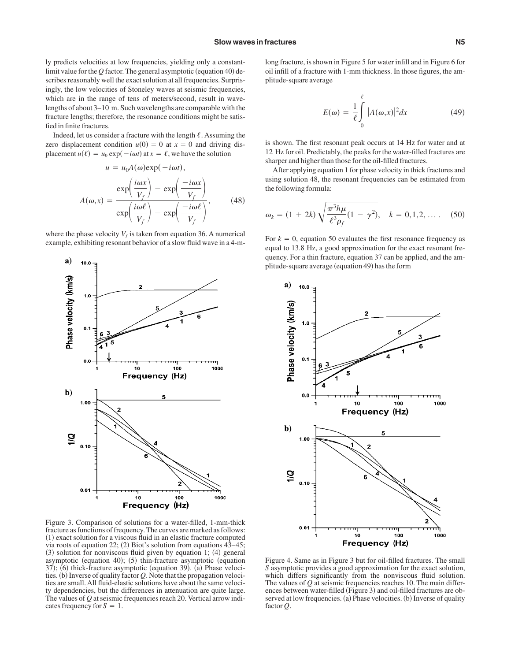ly predicts velocities at low frequencies, yielding only a constantlimit value for the  $Q$  factor. The general asymptotic (equation 40) describes reasonably well the exact solution at all frequencies. Surprisingly, the low velocities of Stoneley waves at seismic frequencies, which are in the range of tens of meters/second, result in wavelengths of about 3–10 m. Such wavelengths are comparable with the fracture lengths; therefore, the resonance conditions might be satisfied in finite fractures.

Indeed, let us consider a fracture with the length  $\ell$ . Assuming the zero displacement condition  $u(0) = 0$  at  $x = 0$  and driving displacement  $u(\ell) = u_0 \exp(-i\omega t)$  at  $x = \ell$ , we have the solution

$$
u = u_0 A(\omega) \exp(-i\omega t),
$$
  

$$
A(\omega, x) = \frac{\exp\left(\frac{i\omega x}{V_f}\right) - \exp\left(\frac{-i\omega x}{V_f}\right)}{\exp\left(\frac{i\omega \ell}{V_f}\right) - \exp\left(\frac{-i\omega \ell}{V_f}\right)},
$$
(48)

where the phase velocity  $V_f$  is taken from equation 36. A numerical example, exhibiting resonant behavior of a slow fluid wave in a 4-m-



long fracture, is shown in Figure 5 for water infill and in Figure 6 for oil infill of a fracture with 1-mm thickness. In those figures, the amplitude-square average

$$
E(\omega) = \frac{1}{\ell} \int_{0}^{\ell} |A(\omega, x)|^2 dx \qquad (49)
$$

is shown. The first resonant peak occurs at 14 Hz for water and at 12 Hz for oil. Predictably, the peaks for the water-filled fractures are sharper and higher than those for the oil-filled fractures.

After applying equation 1 for phase velocity in thick fractures and using solution 48, the resonant frequencies can be estimated from the following formula:

$$
\omega_k = (1 + 2k) \sqrt{\frac{\pi^3 h \mu}{\ell^3 \rho_f} (1 - \gamma^2)}, \quad k = 0, 1, 2, \dots. \quad (50)
$$

For  $k = 0$ , equation 50 evaluates the first resonance frequency as equal to 13.8 Hz, a good approximation for the exact resonant frequency. For a thin fracture, equation 37 can be applied, and the amplitude-square average (equation 49) has the form



Figure 3. Comparison of solutions for a water-filled, 1-mm-thick fracture as functions of frequency. The curves are marked as follows: (1) exact solution for a viscous fluid in an elastic fracture computed via roots of equation  $22$ ; (2) Biot's solution from equations  $43-45$ ;  $(3)$  solution for nonviscous fluid given by equation 1;  $(4)$  general asymptotic (equation 40); (5) thin-fracture asymptotic (equation 37); (6) thick-fracture asymptotic (equation 39). (a) Phase velocities. (b) Inverse of quality factor  $Q$ . Note that the propagation velocities are small. All fluid-elastic solutions have about the same velocity dependencies, but the differences in attenuation are quite large. The values of *Q* at seismic frequencies reach 20. Vertical arrow indicates frequency for  $S = 1$ .

Figure 4. Same as in Figure 3 but for oil-filled fractures. The small *S* asymptotic provides a good approximation for the exact solution, which differs significantly from the nonviscous fluid solution. The values of *Q* at seismic frequencies reaches 10. The main differences between water-filled (Figure 3) and oil-filled fractures are observed at low frequencies. (a) Phase velocities. (b) Inverse of quality factor *Q*.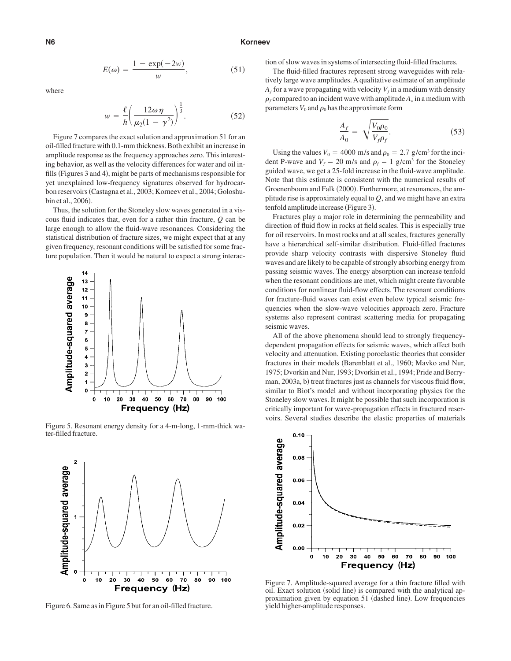#### **N6 Korneev**

$$
E(\omega) = \frac{1 - \exp(-2\omega)}{w},\tag{51}
$$

where

$$
w = \frac{\ell}{h} \left( \frac{12\omega\eta}{\mu_2(1-\gamma^2)} \right)^{\frac{1}{3}}.
$$
 (52)

Figure 7 compares the exact solution and approximation 51 for an oil-filled fracture with 0.1-mm thickness. Both exhibit an increase in amplitude response as the frequency approaches zero. This interesting behavior, as well as the velocity differences for water and oil infills (Figures 3 and 4), might be parts of mechanisms responsible for yet unexplained low-frequency signatures observed for hydrocarbon reservoirs (Castagna et al., 2003; Korneev et al., 2004; Goloshubin et al., 2006).

Thus, the solution for the Stoneley slow waves generated in a viscous fluid indicates that, even for a rather thin fracture, *Q* can be large enough to allow the fluid-wave resonances. Considering the statistical distribution of fracture sizes, we might expect that at any given frequency, resonant conditions will be satisfied for some fracture population. Then it would be natural to expect a strong interac-



Figure 5. Resonant energy density for a 4-m-long, 1-mm-thick water-filled fracture.



Figure 6. Same as in Figure 5 but for an oil-filled fracture.

tion of slow waves in systems of intersecting fluid-filled fractures.

The fluid-filled fractures represent strong waveguides with relatively large wave amplitudes. A qualitative estimate of an amplitude  $A_f$  for a wave propagating with velocity  $V_f$  in a medium with density  $\rho_f$  compared to an incident wave with amplitude  $A_o$  in a medium with parameters  $V_0$  and  $\rho_0$  has the approximate form

$$
\frac{A_f}{A_0} = \sqrt{\frac{V_0 \rho_0}{V_f \rho_f}}.\tag{53}
$$

Using the values  $V_0 = 4000$  m/s and  $\rho_0 = 2.7$  g/cm<sup>3</sup> for the incident P-wave and  $V_f = 20$  m/s and  $\rho_f = 1$  g/cm<sup>3</sup> for the Stoneley guided wave, we get a 25-fold increase in the fluid-wave amplitude. Note that this estimate is consistent with the numerical results of Groenenboom and Falk (2000). Furthermore, at resonances, the amplitude rise is approximately equal to *Q*, and we might have an extra tenfold amplitude increase (Figure 3).

Fractures play a major role in determining the permeability and direction of fluid flow in rocks at field scales. This is especially true for oil reservoirs. In most rocks and at all scales, fractures generally have a hierarchical self-similar distribution. Fluid-filled fractures provide sharp velocity contrasts with dispersive Stoneley fluid waves and are likely to be capable of strongly absorbing energy from passing seismic waves. The energy absorption can increase tenfold when the resonant conditions are met, which might create favorable conditions for nonlinear fluid-flow effects. The resonant conditions for fracture-fluid waves can exist even below typical seismic frequencies when the slow-wave velocities approach zero. Fracture systems also represent contrast scattering media for propagating seismic waves.

All of the above phenomena should lead to strongly frequencydependent propagation effects for seismic waves, which affect both velocity and attenuation. Existing poroelastic theories that consider fractures in their models (Barenblatt et al., 1960; Mavko and Nur, 1975; Dvorkin and Nur, 1993; Dvorkin et al., 1994; Pride and Berryman, 2003a, b) treat fractures just as channels for viscous fluid flow, similar to Biot's model and without incorporating physics for the Stoneley slow waves. It might be possible that such incorporation is critically important for wave-propagation effects in fractured reservoirs. Several studies describe the elastic properties of materials



Figure 7. Amplitude-squared average for a thin fracture filled with oil. Exact solution (solid line) is compared with the analytical approximation given by equation 51 (dashed line). Low frequencies yield higher-amplitude responses.